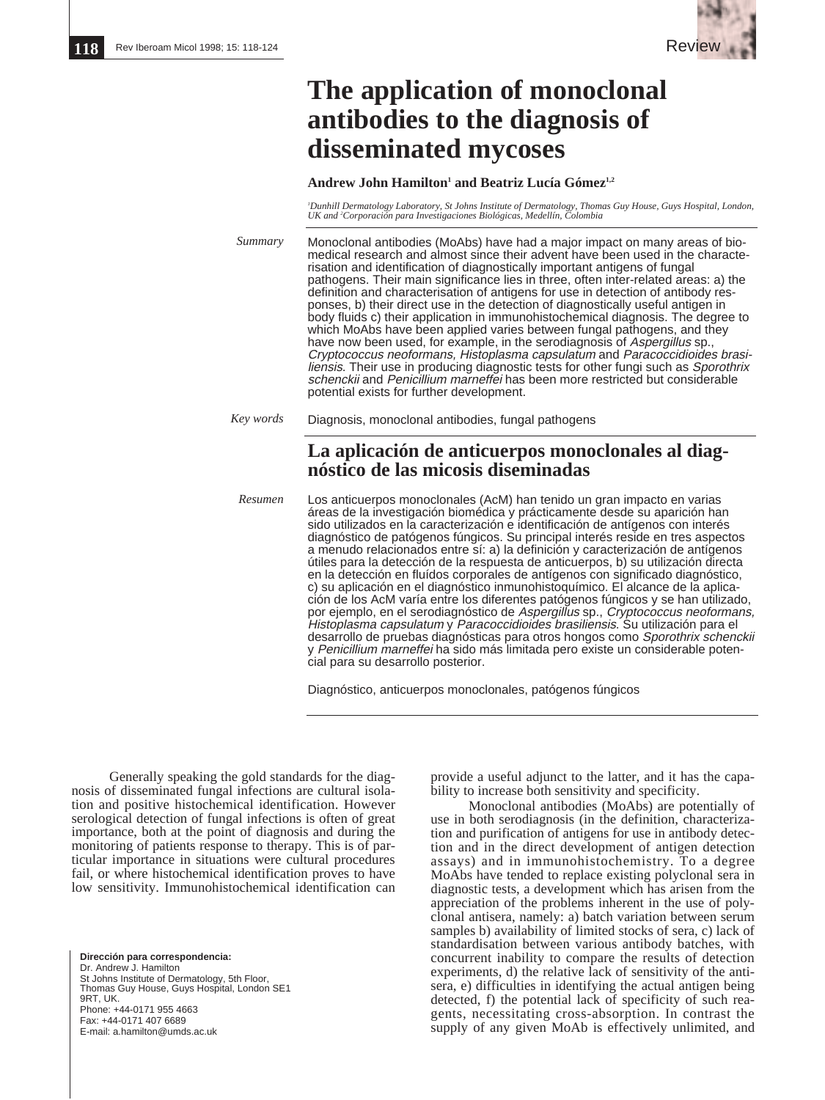

## **The application of monoclonal antibodies to the diagnosis of disseminated mycoses**

## Andrew John Hamilton<sup>1</sup> and Beatriz Lucía Gómez<sup>1,2</sup>

*1 Dunhill Dermatology Laboratory, St Johns Institute of Dermatology, Thomas Guy House, Guys Hospital, London, UK and 2 Corporación para Investigaciones Biológicas, Medellín, Colombia*

| Summary | Monoclonal antibodies (MoAbs) have had a major impact on many areas of bio-<br>medical research and almost since their advent have been used in the characte-<br>risation and identification of diagnostically important antigens of fungal<br>pathogens. Their main significance lies in three, often inter-related areas: a) the<br>definition and characterisation of antigens for use in detection of antibody res-<br>ponses, b) their direct use in the detection of diagnostically useful antigen in<br>body fluids c) their application in immunohistochemical diagnosis. The degree to<br>which MoAbs have been applied varies between fungal pathogens, and they<br>have now been used, for example, in the serodiagnosis of <i>Aspergillus</i> sp.,<br>Cryptococcus neoformans, Histoplasma capsulatum and Paracoccidioides brasi-<br>liensis. Their use in producing diagnostic tests for other fungi such as Sporothrix<br>schenckij and Penicillium marneffei has been more restricted but considerable<br>potential exists for further development. |
|---------|--------------------------------------------------------------------------------------------------------------------------------------------------------------------------------------------------------------------------------------------------------------------------------------------------------------------------------------------------------------------------------------------------------------------------------------------------------------------------------------------------------------------------------------------------------------------------------------------------------------------------------------------------------------------------------------------------------------------------------------------------------------------------------------------------------------------------------------------------------------------------------------------------------------------------------------------------------------------------------------------------------------------------------------------------------------------|
|---------|--------------------------------------------------------------------------------------------------------------------------------------------------------------------------------------------------------------------------------------------------------------------------------------------------------------------------------------------------------------------------------------------------------------------------------------------------------------------------------------------------------------------------------------------------------------------------------------------------------------------------------------------------------------------------------------------------------------------------------------------------------------------------------------------------------------------------------------------------------------------------------------------------------------------------------------------------------------------------------------------------------------------------------------------------------------------|

*Key words* Diagnosis, monoclonal antibodies, fungal pathogens

## **La aplicación de anticuerpos monoclonales al diagnóstico de las micosis diseminadas**

Los anticuerpos monoclonales (AcM) han tenido un gran impacto en varias áreas de la investigación biomédica y prácticamente desde su aparición han sido utilizados en la caracterización e identificación de antígenos con interés diagnóstico de patógenos fúngicos. Su principal interés reside en tres aspectos a menudo relacionados entre sí: a) la definición y caracterización de antígenos útiles para la detección de la respuesta de anticuerpos, b) su utilización directa en la detección en fluídos corporales de antígenos con significado diagnóstico, c) su aplicación en el diagnóstico inmunohistoquímico. El alcance de la aplicación de los AcM varía entre los diferentes patógenos fúngicos y se han utilizado, por ejemplo, en el serodiagnóstico de Aspergillus sp., Cryptococcus neoformans, Histoplasma capsulatum y Paracoccidioides brasiliensis. Su utilización para el desarrollo de pruebas diagnósticas para otros hongos como Sporothrix schenckii y Penicillium marneffei ha sido más limitada pero existe un considerable potencial para su desarrollo posterior. *Resumen*

Diagnóstico, anticuerpos monoclonales, patógenos fúngicos

Generally speaking the gold standards for the diagnosis of disseminated fungal infections are cultural isolation and positive histochemical identification. However serological detection of fungal infections is often of great importance, both at the point of diagnosis and during the monitoring of patients response to therapy. This is of particular importance in situations were cultural procedures fail, or where histochemical identification proves to have low sensitivity. Immunohistochemical identification can

**Dirección para correspondencia:** Dr. Andrew J. Hamilton St Johns Institute of Dermatology, 5th Floor, Thomas Guy House, Guys Hospital, London SE1 9RT, UK. Phone: +44-0171 955 4663 Fax: +44-0171 407 6689 E-mail: a.hamilton@umds.ac.uk

provide a useful adjunct to the latter, and it has the capability to increase both sensitivity and specificity.

Monoclonal antibodies (MoAbs) are potentially of use in both serodiagnosis (in the definition, characterization and purification of antigens for use in antibody detection and in the direct development of antigen detection assays) and in immunohistochemistry. To a degree MoAbs have tended to replace existing polyclonal sera in diagnostic tests, a development which has arisen from the appreciation of the problems inherent in the use of polyclonal antisera, namely: a) batch variation between serum samples b) availability of limited stocks of sera, c) lack of standardisation between various antibody batches, with concurrent inability to compare the results of detection experiments, d) the relative lack of sensitivity of the antisera, e) difficulties in identifying the actual antigen being detected, f) the potential lack of specificity of such reagents, necessitating cross-absorption. In contrast the supply of any given MoAb is effectively unlimited, and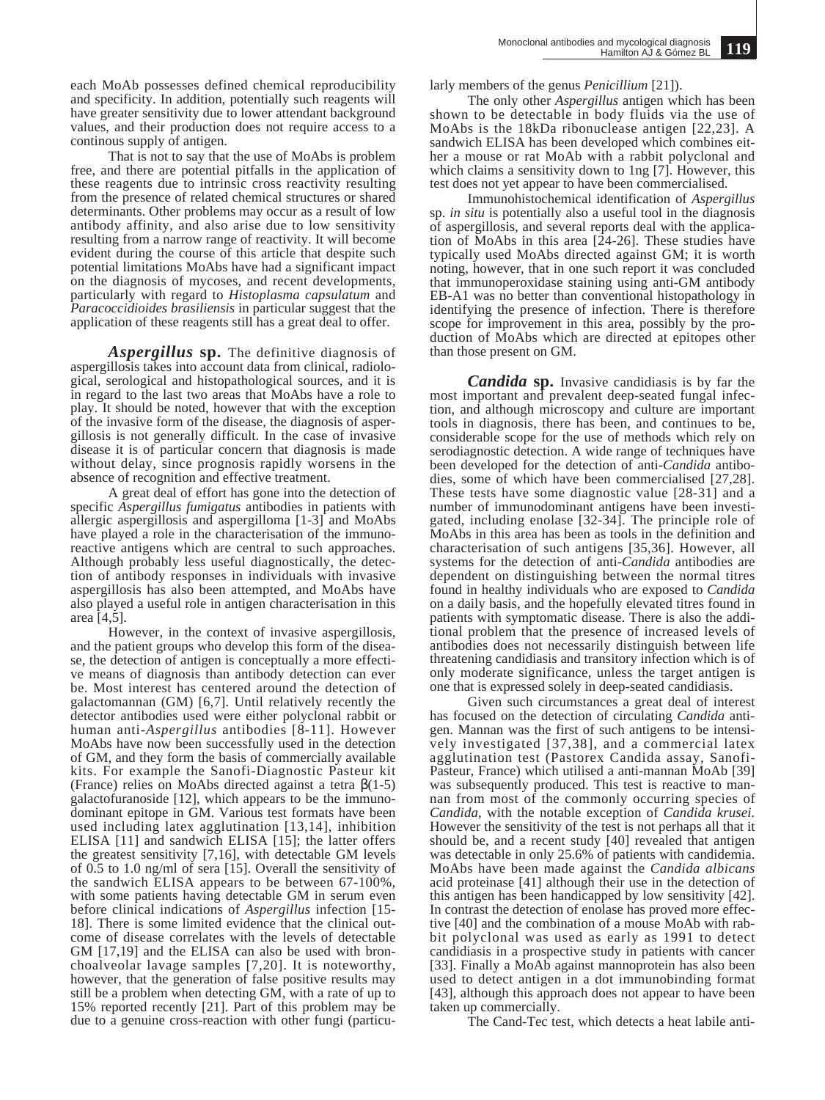each MoAb possesses defined chemical reproducibility and specificity. In addition, potentially such reagents will have greater sensitivity due to lower attendant background values, and their production does not require access to a continous supply of antigen.

That is not to say that the use of MoAbs is problem free, and there are potential pitfalls in the application of these reagents due to intrinsic cross reactivity resulting from the presence of related chemical structures or shared determinants. Other problems may occur as a result of low antibody affinity, and also arise due to low sensitivity resulting from a narrow range of reactivity. It will become evident during the course of this article that despite such potential limitations MoAbs have had a significant impact on the diagnosis of mycoses, and recent developments, particularly with regard to *Histoplasma capsulatum* and *Paracoccidioides brasiliensis* in particular suggest that the application of these reagents still has a great deal to offer.

*Aspergillus* **sp.** The definitive diagnosis of aspergillosis takes into account data from clinical, radiological, serological and histopathological sources, and it is in regard to the last two areas that MoAbs have a role to play. It should be noted, however that with the exception of the invasive form of the disease, the diagnosis of aspergillosis is not generally difficult. In the case of invasive disease it is of particular concern that diagnosis is made without delay, since prognosis rapidly worsens in the absence of recognition and effective treatment.

A great deal of effort has gone into the detection of specific *Aspergillus fumigatus* antibodies in patients with allergic aspergillosis and aspergilloma [1-3] and MoAbs have played a role in the characterisation of the immunoreactive antigens which are central to such approaches. Although probably less useful diagnostically, the detection of antibody responses in individuals with invasive aspergillosis has also been attempted, and MoAbs have also played a useful role in antigen characterisation in this area [4,5].

However, in the context of invasive aspergillosis, and the patient groups who develop this form of the disease, the detection of antigen is conceptually a more effective means of diagnosis than antibody detection can ever be. Most interest has centered around the detection of galactomannan (GM) [6,7]. Until relatively recently the detector antibodies used were either polyclonal rabbit or human anti-*Aspergillus* antibodies [8-11]. However MoAbs have now been successfully used in the detection of GM, and they form the basis of commercially available kits. For example the Sanofi-Diagnostic Pasteur kit (France) relies on MoAbs directed against a tetra  $\beta(1-5)$ galactofuranoside [12], which appears to be the immunodominant epitope in GM. Various test formats have been used including latex agglutination [13,14], inhibition ELISA [11] and sandwich ELISA [15]; the latter offers the greatest sensitivity [7,16], with detectable GM levels of 0.5 to 1.0 ng/ml of sera [15]. Overall the sensitivity of the sandwich ELISA appears to be between 67-100%, with some patients having detectable GM in serum even before clinical indications of *Aspergillus* infection [15- 18]. There is some limited evidence that the clinical outcome of disease correlates with the levels of detectable GM [17,19] and the ELISA can also be used with bronchoalveolar lavage samples [7,20]. It is noteworthy, however, that the generation of false positive results may still be a problem when detecting GM, with a rate of up to 15% reported recently [21]. Part of this problem may be due to a genuine cross-reaction with other fungi (particularly members of the genus *Penicillium* [21]).

The only other *Aspergillus* antigen which has been shown to be detectable in body fluids via the use of MoAbs is the 18kDa ribonuclease antigen [22,23]. A sandwich ELISA has been developed which combines either a mouse or rat MoAb with a rabbit polyclonal and which claims a sensitivity down to 1ng [7]. However, this test does not yet appear to have been commercialised.

Immunohistochemical identification of *Aspergillus* sp. *in situ* is potentially also a useful tool in the diagnosis of aspergillosis, and several reports deal with the application of MoAbs in this area [24-26]. These studies have typically used MoAbs directed against GM; it is worth noting, however, that in one such report it was concluded that immunoperoxidase staining using anti-GM antibody EB-A1 was no better than conventional histopathology in identifying the presence of infection. There is therefore scope for improvement in this area, possibly by the production of MoAbs which are directed at epitopes other than those present on GM.

*Candida* **sp.** Invasive candidiasis is by far the most important and prevalent deep-seated fungal infection, and although microscopy and culture are important tools in diagnosis, there has been, and continues to be, considerable scope for the use of methods which rely on serodiagnostic detection. A wide range of techniques have been developed for the detection of anti-*Candida* antibodies, some of which have been commercialised [27,28]. These tests have some diagnostic value [28-31] and a number of immunodominant antigens have been investigated, including enolase [32-34]. The principle role of MoAbs in this area has been as tools in the definition and characterisation of such antigens [35,36]. However, all systems for the detection of anti-*Candida* antibodies are dependent on distinguishing between the normal titres found in healthy individuals who are exposed to *Candida* on a daily basis, and the hopefully elevated titres found in patients with symptomatic disease. There is also the additional problem that the presence of increased levels of antibodies does not necessarily distinguish between life threatening candidiasis and transitory infection which is of only moderate significance, unless the target antigen is one that is expressed solely in deep-seated candidiasis.

Given such circumstances a great deal of interest has focused on the detection of circulating *Candida* antigen. Mannan was the first of such antigens to be intensively investigated [37,38], and a commercial latex agglutination test (Pastorex Candida assay, Sanofi-Pasteur, France) which utilised a anti-mannan MoAb [39] was subsequently produced. This test is reactive to mannan from most of the commonly occurring species of *Candida*, with the notable exception of *Candida krusei.* However the sensitivity of the test is not perhaps all that it should be, and a recent study [40] revealed that antigen was detectable in only 25.6% of patients with candidemia. MoAbs have been made against the *Candida albicans* acid proteinase [41] although their use in the detection of this antigen has been handicapped by low sensitivity [42]. In contrast the detection of enolase has proved more effective [40] and the combination of a mouse MoAb with rabbit polyclonal was used as early as 1991 to detect candidiasis in a prospective study in patients with cancer [33]. Finally a MoAb against mannoprotein has also been used to detect antigen in a dot immunobinding format [43], although this approach does not appear to have been taken up commercially.

The Cand-Tec test, which detects a heat labile anti-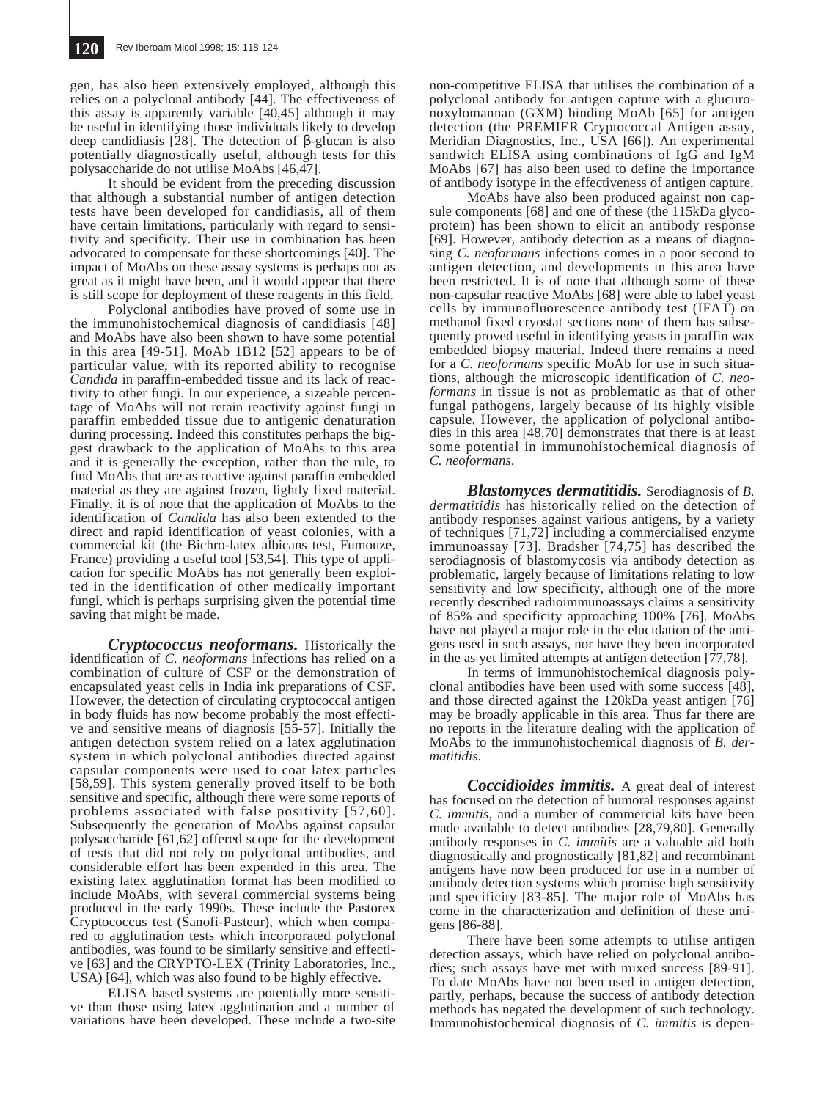gen, has also been extensively employed, although this relies on a polyclonal antibody [44]. The effectiveness of this assay is apparently variable [40,45] although it may be useful in identifying those individuals likely to develop deep candidiasis [28]. The detection of β-glucan is also potentially diagnostically useful, although tests for this polysaccharide do not utilise MoAbs [46,47].

It should be evident from the preceding discussion that although a substantial number of antigen detection tests have been developed for candidiasis, all of them have certain limitations, particularly with regard to sensitivity and specificity. Their use in combination has been advocated to compensate for these shortcomings [40]. The impact of MoAbs on these assay systems is perhaps not as great as it might have been, and it would appear that there is still scope for deployment of these reagents in this field.

Polyclonal antibodies have proved of some use in the immunohistochemical diagnosis of candidiasis [48] and MoAbs have also been shown to have some potential in this area [49-51]. MoAb 1B12 [52] appears to be of particular value, with its reported ability to recognise *Candida* in paraffin-embedded tissue and its lack of reactivity to other fungi. In our experience, a sizeable percentage of MoAbs will not retain reactivity against fungi in paraffin embedded tissue due to antigenic denaturation during processing. Indeed this constitutes perhaps the biggest drawback to the application of MoAbs to this area and it is generally the exception, rather than the rule, to find MoAbs that are as reactive against paraffin embedded material as they are against frozen, lightly fixed material. Finally, it is of note that the application of MoAbs to the identification of *Candida* has also been extended to the direct and rapid identification of yeast colonies, with a commercial kit (the Bichro-latex albicans test, Fumouze, France) providing a useful tool [53,54]. This type of application for specific MoAbs has not generally been exploited in the identification of other medically important fungi, which is perhaps surprising given the potential time saving that might be made.

*Cryptococcus neoformans.* Historically the identification of *C. neoformans* infections has relied on a combination of culture of CSF or the demonstration of encapsulated yeast cells in India ink preparations of CSF. However, the detection of circulating cryptococcal antigen in body fluids has now become probably the most effective and sensitive means of diagnosis [55-57]. Initially the antigen detection system relied on a latex agglutination system in which polyclonal antibodies directed against capsular components were used to coat latex particles [58,59]. This system generally proved itself to be both sensitive and specific, although there were some reports of problems associated with false positivity [57,60]. Subsequently the generation of MoAbs against capsular polysaccharide [61,62] offered scope for the development of tests that did not rely on polyclonal antibodies, and considerable effort has been expended in this area. The existing latex agglutination format has been modified to include MoAbs, with several commercial systems being produced in the early 1990s. These include the Pastorex Cryptococcus test (Sanofi-Pasteur), which when compared to agglutination tests which incorporated polyclonal antibodies, was found to be similarly sensitive and effective [63] and the CRYPTO-LEX (Trinity Laboratories, Inc., USA) [64], which was also found to be highly effective.

ELISA based systems are potentially more sensitive than those using latex agglutination and a number of variations have been developed. These include a two-site

non-competitive ELISA that utilises the combination of a polyclonal antibody for antigen capture with a glucuronoxylomannan (GXM) binding MoAb [65] for antigen detection (the PREMIER Cryptococcal Antigen assay, Meridian Diagnostics, Inc., USA [66]). An experimental sandwich ELISA using combinations of IgG and IgM MoAbs [67] has also been used to define the importance of antibody isotype in the effectiveness of antigen capture.

MoAbs have also been produced against non capsule components [68] and one of these (the 115kDa glycoprotein) has been shown to elicit an antibody response [69]. However, antibody detection as a means of diagnosing *C. neoformans* infections comes in a poor second to antigen detection, and developments in this area have been restricted. It is of note that although some of these non-capsular reactive MoAbs [68] were able to label yeast cells by immunofluorescence antibody test (IFAT) on methanol fixed cryostat sections none of them has subsequently proved useful in identifying yeasts in paraffin wax embedded biopsy material. Indeed there remains a need for a *C. neoformans* specific MoAb for use in such situations, although the microscopic identification of *C. neoformans* in tissue is not as problematic as that of other fungal pathogens, largely because of its highly visible capsule. However, the application of polyclonal antibodies in this area [48,70] demonstrates that there is at least some potential in immunohistochemical diagnosis of *C. neoformans*.

*Blastomyces dermatitidis.* Serodiagnosis of *B. dermatitidis* has historically relied on the detection of antibody responses against various antigens, by a variety of techniques [71,72] including a commercialised enzyme immunoassay [73]. Bradsher [74,75] has described the serodiagnosis of blastomycosis via antibody detection as problematic, largely because of limitations relating to low sensitivity and low specificity, although one of the more recently described radioimmunoassays claims a sensitivity of 85% and specificity approaching 100% [76]. MoAbs have not played a major role in the elucidation of the antigens used in such assays, nor have they been incorporated in the as yet limited attempts at antigen detection [77,78].

In terms of immunohistochemical diagnosis polyclonal antibodies have been used with some success [48], and those directed against the 120kDa yeast antigen [76] may be broadly applicable in this area. Thus far there are no reports in the literature dealing with the application of MoAbs to the immunohistochemical diagnosis of *B. dermatitidis*.

*Coccidioides immitis.* A great deal of interest has focused on the detection of humoral responses against *C. immitis*, and a number of commercial kits have been made available to detect antibodies [28,79,80]. Generally antibody responses in *C. immitis* are a valuable aid both diagnostically and prognostically [81,82] and recombinant antigens have now been produced for use in a number of antibody detection systems which promise high sensitivity and specificity [83-85]. The major role of MoAbs has come in the characterization and definition of these antigens [86-88].

There have been some attempts to utilise antigen detection assays, which have relied on polyclonal antibodies; such assays have met with mixed success [89-91]. To date MoAbs have not been used in antigen detection, partly, perhaps, because the success of antibody detection methods has negated the development of such technology. Immunohistochemical diagnosis of *C. immitis* is depen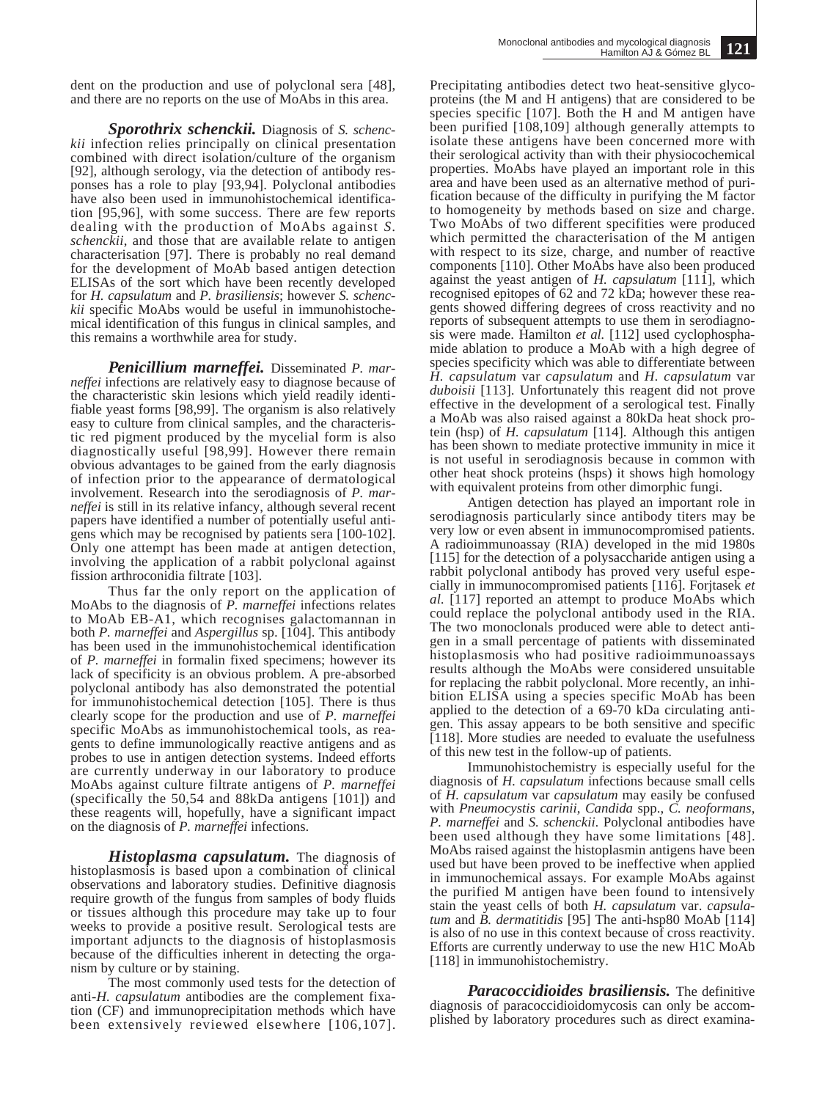dent on the production and use of polyclonal sera [48], and there are no reports on the use of MoAbs in this area.

*Sporothrix schenckii.* Diagnosis of *S. schenckii* infection relies principally on clinical presentation combined with direct isolation/culture of the organism [92], although serology, via the detection of antibody responses has a role to play [93,94]. Polyclonal antibodies have also been used in immunohistochemical identification [95,96], with some success. There are few reports dealing with the production of MoAbs against *S. schenckii*, and those that are available relate to antigen characterisation [97]. There is probably no real demand for the development of MoAb based antigen detection ELISAs of the sort which have been recently developed for *H. capsulatum* and *P. brasiliensis*; however *S. schenckii* specific MoAbs would be useful in immunohistochemical identification of this fungus in clinical samples, and this remains a worthwhile area for study.

*Penicillium marneffei.* Disseminated *P. marneffei* infections are relatively easy to diagnose because of the characteristic skin lesions which yield readily identifiable yeast forms [98,99]. The organism is also relatively easy to culture from clinical samples, and the characteristic red pigment produced by the mycelial form is also diagnostically useful [98,99]. However there remain obvious advantages to be gained from the early diagnosis of infection prior to the appearance of dermatological involvement. Research into the serodiagnosis of *P. marneffei* is still in its relative infancy, although several recent papers have identified a number of potentially useful antigens which may be recognised by patients sera [100-102]. Only one attempt has been made at antigen detection, involving the application of a rabbit polyclonal against fission arthroconidia filtrate [103].

Thus far the only report on the application of MoAbs to the diagnosis of *P. marneffei* infections relates to MoAb EB-A1, which recognises galactomannan in both *P. marneffei* and *Aspergillus* sp. [104]. This antibody has been used in the immunohistochemical identification of *P. marneffei* in formalin fixed specimens; however its lack of specificity is an obvious problem. A pre-absorbed polyclonal antibody has also demonstrated the potential for immunohistochemical detection [105]. There is thus clearly scope for the production and use of *P. marneffei* specific MoAbs as immunohistochemical tools, as reagents to define immunologically reactive antigens and as probes to use in antigen detection systems. Indeed efforts are currently underway in our laboratory to produce MoAbs against culture filtrate antigens of *P. marneffei* (specifically the 50,54 and 88kDa antigens [101]) and these reagents will, hopefully, have a significant impact on the diagnosis of *P. marneffei* infections.

*Histoplasma capsulatum.* The diagnosis of histoplasmosis is based upon a combination of clinical observations and laboratory studies. Definitive diagnosis require growth of the fungus from samples of body fluids or tissues although this procedure may take up to four weeks to provide a positive result. Serological tests are important adjuncts to the diagnosis of histoplasmosis because of the difficulties inherent in detecting the organism by culture or by staining.

The most commonly used tests for the detection of anti-*H. capsulatum* antibodies are the complement fixation (CF) and immunoprecipitation methods which have been extensively reviewed elsewhere [106,107].

Precipitating antibodies detect two heat-sensitive glycoproteins (the M and H antigens) that are considered to be species specific [107]. Both the H and M antigen have been purified [108,109] although generally attempts to isolate these antigens have been concerned more with their serological activity than with their physiocochemical properties. MoAbs have played an important role in this area and have been used as an alternative method of purification because of the difficulty in purifying the M factor to homogeneity by methods based on size and charge. Two MoAbs of two different specifities were produced which permitted the characterisation of the M antigen with respect to its size, charge, and number of reactive components [110]. Other MoAbs have also been produced against the yeast antigen of *H. capsulatum* [111], which recognised epitopes of 62 and 72 kDa; however these reagents showed differing degrees of cross reactivity and no reports of subsequent attempts to use them in serodiagnosis were made. Hamilton *et al.* [112] used cyclophosphamide ablation to produce a MoAb with a high degree of species specificity which was able to differentiate between *H. capsulatum* var *capsulatum* and *H. capsulatum* var duboisii [113]. Unfortunately this reagent did not prove effective in the development of a serological test. Finally a MoAb was also raised against a 80kDa heat shock protein (hsp) of *H. capsulatum* [114]. Although this antigen has been shown to mediate protective immunity in mice it is not useful in serodiagnosis because in common with other heat shock proteins (hsps) it shows high homology with equivalent proteins from other dimorphic fungi.

Antigen detection has played an important role in serodiagnosis particularly since antibody titers may be very low or even absent in immunocompromised patients. A radioimmunoassay (RIA) developed in the mid 1980s [115] for the detection of a polysaccharide antigen using a rabbit polyclonal antibody has proved very useful especially in immunocompromised patients [116]. Forjtasek *et al.* [117] reported an attempt to produce MoAbs which could replace the polyclonal antibody used in the RIA. The two monoclonals produced were able to detect antigen in a small percentage of patients with disseminated histoplasmosis who had positive radioimmunoassays results although the MoAbs were considered unsuitable for replacing the rabbit polyclonal. More recently, an inhibition ELISA using a species specific MoAb has been applied to the detection of a 69-70 kDa circulating antigen. This assay appears to be both sensitive and specific [118]. More studies are needed to evaluate the usefulness of this new test in the follow-up of patients.

Immunohistochemistry is especially useful for the diagnosis of *H. capsulatum* infections because small cells of *H. capsulatum* var *capsulatum* may easily be confused with *Pneumocystis carinii*, *Candida* spp., *C. neoformans*, *P. marneffei* and *S. schenckii*. Polyclonal antibodies have been used although they have some limitations [48]. MoAbs raised against the histoplasmin antigens have been used but have been proved to be ineffective when applied in immunochemical assays. For example MoAbs against the purified M antigen have been found to intensively stain the yeast cells of both *H. capsulatum* var. *capsulatum* and *B. dermatitidis* [95] The anti-hsp80 MoAb [114] is also of no use in this context because of cross reactivity. Efforts are currently underway to use the new H1C MoAb [118] in immunohistochemistry.

*Paracoccidioides brasiliensis.* The definitive diagnosis of paracoccidioidomycosis can only be accomplished by laboratory procedures such as direct examina-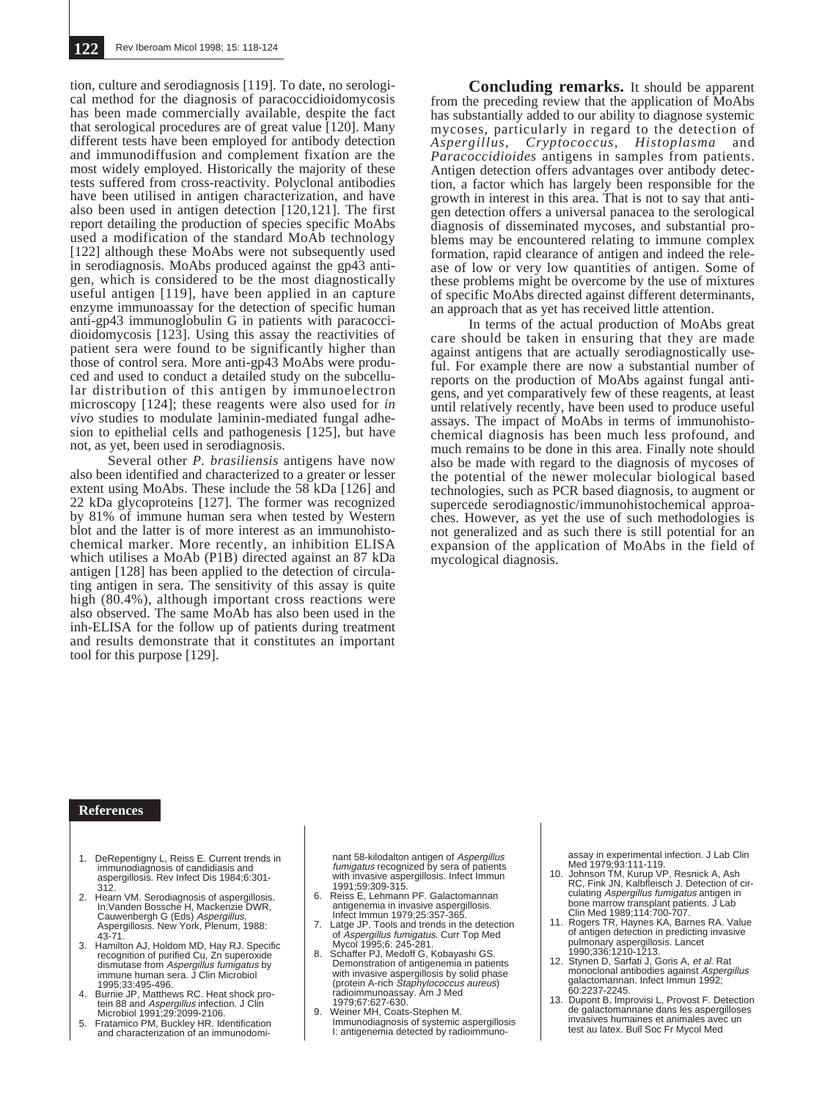tion, culture and serodiagnosis [119]. To date, no serological method for the diagnosis of paracoccidioidomycosis has been made commercially available, despite the fact that serological procedures are of great value [120]. Many different tests have been employed for antibody detection and immunodiffusion and complement fixation are the most widely employed. Historically the majority of these tests suffered from cross-reactivity. Polyclonal antibodies have been utilised in antigen characterization, and have also been used in antigen detection [120,121]. The first report detailing the production of species specific MoAbs used a modification of the standard MoAb technology [122] although these MoAbs were not subsequently used in serodiagnosis. MoAbs produced against the gp43 antigen, which is considered to be the most diagnostically useful antigen [119], have been applied in an capture enzyme immunoassay for the detection of specific human anti-gp43 immunoglobulin G in patients with paracoccidioidomycosis [123]. Using this assay the reactivities of patient sera were found to be significantly higher than those of control sera. More anti-gp43 MoAbs were produced and used to conduct a detailed study on the subcellular distribution of this antigen by immunoelectron microscopy [124]; these reagents were also used for *in vivo* studies to modulate laminin-mediated fungal adhesion to epithelial cells and pathogenesis [125], but have not, as yet, been used in serodiagnosis.

Several other *P. brasiliensis* antigens have now also been identified and characterized to a greater or lesser extent using MoAbs. These include the 58 kDa [126] and 22 kDa glycoproteins [127]. The former was recognized by 81% of immune human sera when tested by Western blot and the latter is of more interest as an immunohistochemical marker. More recently, an inhibition ELISA which utilises a MoAb (P1B) directed against an 87 kDa antigen [128] has been applied to the detection of circulating antigen in sera. The sensitivity of this assay is quite high (80.4%), although important cross reactions were also observed. The same MoAb has also been used in the inh-ELISA for the follow up of patients during treatment and results demonstrate that it constitutes an important tool for this purpose [129].

**Concluding remarks.** It should be apparent from the preceding review that the application of MoAbs has substantially added to our ability to diagnose systemic mycoses, particularly in regard to the detection of *Aspergillus*, *Cryptococcus*, *Histoplasma* and *Paracoccidioides* antigens in samples from patients. Antigen detection offers advantages over antibody detection, a factor which has largely been responsible for the growth in interest in this area. That is not to say that antigen detection offers a universal panacea to the serological diagnosis of disseminated mycoses, and substantial problems may be encountered relating to immune complex formation, rapid clearance of antigen and indeed the release of low or very low quantities of antigen. Some of these problems might be overcome by the use of mixtures of specific MoAbs directed against different determinants, an approach that as yet has received little attention.

In terms of the actual production of MoAbs great care should be taken in ensuring that they are made against antigens that are actually serodiagnostically useful. For example there are now a substantial number of reports on the production of MoAbs against fungal antigens, and yet comparatively few of these reagents, at least until relatively recently, have been used to produce useful assays. The impact of MoAbs in terms of immunohistochemical diagnosis has been much less profound, and much remains to be done in this area. Finally note should also be made with regard to the diagnosis of mycoses of the potential of the newer molecular biological based technologies, such as PCR based diagnosis, to augment or supercede serodiagnostic/immunohistochemical approaches. However, as yet the use of such methodologies is not generalized and as such there is still potential for an expansion of the application of MoAbs in the field of mycological diagnosis.

## **References**

- 1. DeRepentigny L, Reiss E. Current trends in immunodiagnosis of candidiasis and aspergillosis. Rev Infect Dis 1984;6:301- 312.
- 2. Hearn VM. Serodiagnosis of aspergillosis. In:Vanden Bossche H, Mackenzie DWR, Cauwenbergh G (Eds) *Aspergillus*,<br>Aspergillosis. New York, Plenum, 1988:<br>43-71.
- 3. Hamilton AJ, Holdom MD, Hay RJ. Specific recognition of purified Cu, Zn superoxide dismutase from Aspergillus fumigatus by immune human sera. J Clin Microbiol 1995;33:495-496.
- 4. Burnie JP, Matthews RC. Heat shock protein 88 and *Aspergillus* infection. J Clin<br>Microbiol 1991;29:2099-2106.
- 5. Fratamico PM, Buckley HR. Identification and characterization of an immunodomi-

nant 58-kilodalton antigen of Aspergillus *fumigatus* recognized by sera of patients<br>with invasive aspergillosis. Infect Immun 1991;59:309-315.

- 6. Reiss E, Lehmann PF. Galactomannan antigenemia in invasive aspergillosis. Infect Immun 1979;25:357-365.
- 7. Latge JP. Tools and trends in the detection of Aspergillus fumigatus. Curr Top Med Mycol 1995;6: 245-281.
- 8. Schaffer PJ, Medoff G, Kobayashi GS. Demonstration of antigenemia in patients with invasive aspergillosis by solid phase (protein A-rich Staphylococcus aureus) radioimmunoassay. Am J Med 1979;67:627-630.
- 9. Weiner MH, Coats-Stephen M. Immunodiagnosis of systemic aspergillosis I: antigenemia detected by radioimmuno-

assay in experimental infection. J Lab Clin Med 1979;93:111-119.

- 10. Johnson TM, Kurup VP, Resnick A, Ash RC, Fink JN, Kalbfleisch J. Detection of circulating Aspergillus fumigatus antigen in bone marrow transplant patients. J Lab Clin Med 1989;114:700-707.
- 11. Rogers TR, Haynes KA, Barnes RA. Value of antigen detection in predicting invasive pulmonary aspergillosis. Lancet 1990;336:1210-1213.
- 12. Stynen D, Sarfati J, Goris A, et al. Rat monoclonal antibodies against Aspergillus galactomannan. Infect Immun 1992; 60:2237-2245.
- 13. Dupont B, Improvisi L, Provost F. Detection de galactomannane dans les aspergilloses invasives humaines et animales avec un test au latex. Bull Soc Fr Mycol Med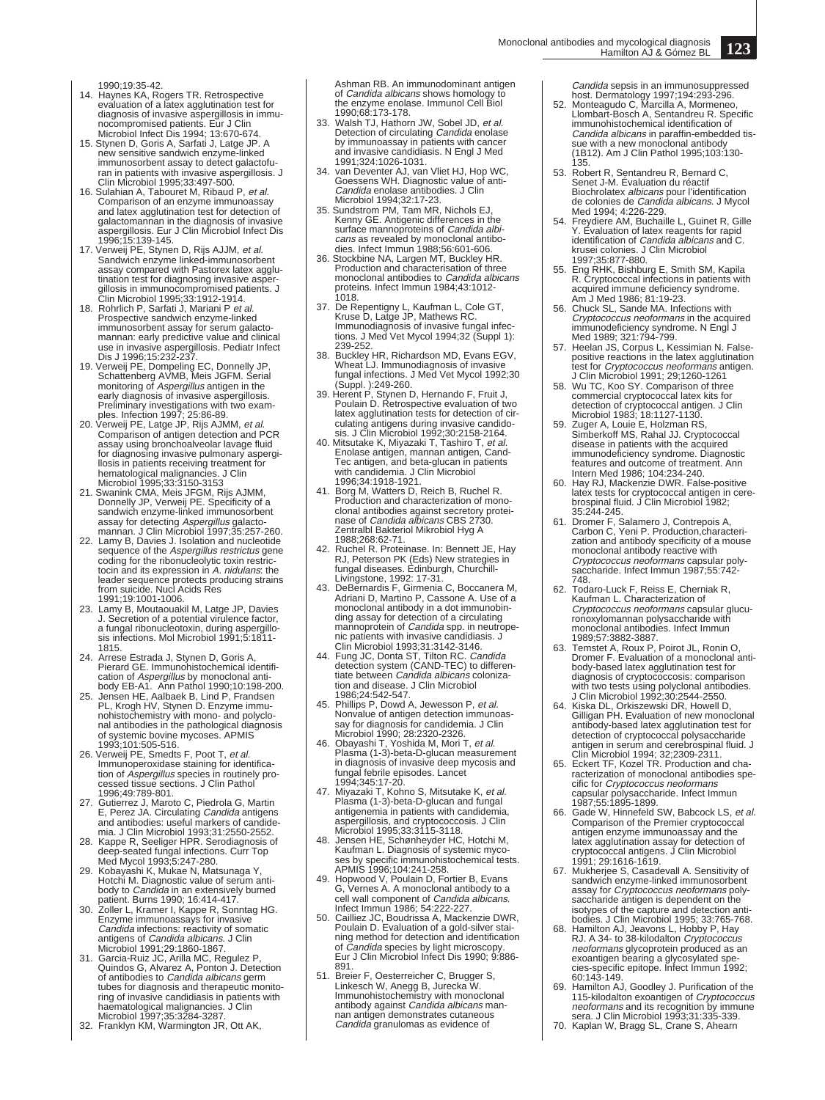1990;19:35-42.

- 14. Haynes KA, Rogers TR. Retrospective evaluation of a latex agglutination test for diagnosis of invasive aspergillosis in immu-<br>nocompromised patients. Eur J Clin<br>Microbiol Infect Dis 1994; 13:670-674.<br>15. Stynen D, Goris A, Sarfati J, Latge JP. A<br>new sensitive sandwich enzyme-linked
- immunosorbent assay to detect galactofu-<br>ran in patients with invasive aspergillosis. J<br>Clin Microbiol 1995;33:497-500.<br>16. Sulahian A, Tabouret M, Ribaud P, *et al.*<br>Comparison of an enzyme immunoassay
- and latex agglutination test for detection of<br>
galactomannan in the diagnosis of invasive<br>
aspergillosis. Eur J Clin Microbiol Infect Dis<br>
1996;15:139-145.<br>
17. Verweij PE, Stynen D, Rijs AJJM, *et al.*
- Sandwich enzyme linked-immunosorbent assay compared with Pastorex latex agglu-tination test for diagnosing invasive asper-
- gillosis in immunocompromised patients. J<br>Clin Microbiol 1995;33:1912-1914.<br>18. Rohrlich P, Sarfati J, Mariani P *et al.*<br>Prospective sandwich enzyme-linked immunosorbent assay for serum galacto-mannan: early predictive value and clinical
- use in invasive aspergillosis. Pediatr Infect<br>Dis J 1996;15:232-237.<br>19. Verweij PE, Dompeling EC, Donnelly JP,<br>Schattenberg AVMB, Meis JGFM. Serial<br>monitoring of Aspergillus antigen in the<br>early diagnosis of invasive aspe Preliminary investigations with two exam-ples. Infection 1997; 25:86-89. 20. Verweij PE, Latge JP, Rijs AJMM, et al.
- Comparison of antigen detection and PCR assay using bronchoalveolar lavage fluid for diagnosing invasive pulmonary aspergi-
- llosis in patients receiving treatment for<br>hematological malignancies. J Clin<br>Microbiol 1995;33:3150-3153<br>21. Swanink CMA, Meis JFGM, Rijs AJMM,<br>Donnelly JP, Verweij PE. Specificity of a<br>sandwich enzyme-linked immunosorben
- 22. Lamy B, Davies J. Isolation and nucleotide<br>sequence of the Aspergillus restrictus gene<br>coding for the ribonucleolytic toxin restrictocin and its expression in *A. nidulans*: the<br>leader sequence protects producing strains<br>from suicide. Nucl Acids Res<br>1991;19:1001-1006.
- 23. Lamy B, Moutaouakil M, Latge JP, Davies J. Secretion of a potential virulence factor, a fungal ribonucleotoxin, during aspergillosis infections. Mol Microbiol 1991;5:1811- 1815.
- 24. Arrese Estrada J, Stynen D, Goris A, Pierard GE. Immunohistochemical identification of *Aspergillus* by monoclonal anti-<br>body EB-A1. Ann Pathol 1990;10:198-200.
- 25. Jensen HE, Aalbaek B, Lind P, Frandsen PL, Krogh HV, Stynen D. Enzyme immu-nohistochemistry with mono- and polyclonal antibodies in the pathological diagnosis of systemic bovine mycoses. APMIS 1993;101:505-516.
- 26. Verweij PE, Smedts F, Poot T, et al. Immunoperoxidase staining for identifica-tion of Aspergillus species in routinely processed tissue sections. J Clin Pathol 1996;49:789-801.
- 27. Gutierrez J, Maroto C, Piedrola G, Martin E, Perez JA. Circulating *Candida* antigens<br>and antibodies: useful markers of candide-<br>mia. J Clin Microbiol 1993;31:2550-2552.
- 28. Kappe R, Seeliger HPR. Serodiagnosis of deep-seated fungal infections. Curr Top Med Mycol 1993;5:247-280.
- 29. Kobayashi K, Mukae N, Matsunaga Y, Hotchi M. Diagnostic value of serum anti-body to Candida in an extensively burned
- patient. Burns 1990; 16:414-417. 30. Zoller L, Kramer I, Kappe R, Sonntag HG. Enzyme immunoassays for invasive Candida infections: reactivity of somatic antigens of Candida albicans. J Clin
- Microbiol 1991;29:1860-1867.<br>31. Garcia-Ruiz JC, Arilla MC, Regulez P,<br>Quindos G, Alvarez A, Ponton J. Detection<br>of antibodies to *Candida albicans* germ<br>tubes for diagnosis and therapeutic monito-<br>ring of invasive candidi haematological malignancies. J Clin Microbiol 1997;35:3284-3287.
- 32. Franklyn KM, Warmington JR, Ott AK,

Ashman RB. An immunodominant antigen of *Candida albicans* shows homology to<br>the enzyme enolase. Immunol Cell Biol 1990;68:173-178.

- 33. Walsh TJ, Hathorn JW, Sobel JD, et al.<br>Detection of circulating *Candida* enolase<br>by immunoassay in patients with cancer
- and invasive candidiasis. N Engl J Med<br>1991;324:1026-1031.<br>34. van Deventer AJ, van Vliet HJ, Hop WC,<br>Goessens WH. Diagnostic value of anti-<br>*Candida* enolase antibodies. J Clin
- Microbiol 1994;32:17-23. 35. Sundstrom PM, Tam MR, Nichols EJ, Kenny GE. Antigenic differences in the surface mannoproteins of *Candida albi-*<br>cans as revealed by monoclonal antibo-<br>dies. Infect Immun 1988;56:601-606.<br>36. Stockbine NA, Largen MT, Buckley HR.<br>Production and characterisation of three
- monoclonal antibodies to *Candida albicans*<br>proteins. Infect Immun 1984;43:1012-1018.
- 37. De Repentigny L, Kaufman L, Cole GT, Kruse D, Latge JP, Mathews RC. Immunodiagnosis of invasive fungal infec-tions. J Med Vet Mycol 1994;32 (Suppl 1): 239-252.
- 38. Buckley HR, Richardson MD, Evans EGV, Wheat LJ. Immunodiagnosis of invasive fungal infections. J Med Vet Mycol 1992;30
- (Suppl. ):249-260. 39. Herent P, Stynen D, Hernando F, Fruit J, Poulain D. Retrospective evaluation of two latex agglutination tests for detection of circulating antigens during invasive candidosis. J Clin Microbiol 1992;30:2158-2164.<br>40. Mitsutake K, Miyazaki T, Tashiro T, et al.
- Enolase antigen, mannan antigen, Cand-Tec antigen, and beta-glucan in patients with candidemia. J Clin Microbiol 1996;34:1918-1921.
- 41. Borg M, Watters D, Reich B, Ruchel R. Production and characterization of mono-<br>clonal antibodies against secretory protei-<br>nase of *Candida albicans* CBS 2730. Zentralbl Bakteriol Mikrobiol Hyg A 1988;268:62-71.
- 42. Ruchel R. Proteinase. In: Bennett JE, Hay RJ, Peterson PK (Eds) New strategies in fungal diseases. Edinburgh, Churchill-
- Livingstone, 1992: 17-31. 43. DeBernardis F, Girmenia C, Boccanera M, Adriani D, Martino P, Cassone A. Use of a monoclonal antibody in a dot immunobinding assay for detection of a circulating<br>mannoprotein of *Candida* spp. in neutrope-
- nic patients with invasive candidiasis. J<br>Clin Microbiol 1993;31:3142-3146.<br>44. Fung JC, Donta ST, Tilton RC. Candida<br>detection system (CAND-TEC) to differen-<br>tiate between Candida albicans colonization and disease. J Clin Microbiol 1986;24:542-547.
- 45. Phillips P, Dowd A, Jewesson P, et al.
- Nonvalue of antigen detection immunoas-<br>say for diagnosis for candidemia. J Clin<br>Microbiol 1990; 28:2320-2326.<br>46. Obayashi T, Yoshida M, Mori T, *et al.*<br>Plasma (1-3)-beta-D-glucan measuremen<br>in diagnosis of invasive deep fungal febrile episodes. Lancet 1994;345:17-20.
- 47. Miyazaki T, Kohno S, Mitsutake K, *et al.*<br>Plasma (1-3)-beta-D-glucan and fungal<br>antigenemia in patients with candidemia, aspergillosis, and cryptococcosis. J Clin Microbiol 1995;33:3115-3118. 48. Jensen HE, Schønheyder HC, Hotchi M,
- Kaufman L. Diagnosis of systemic mycoses by specific immunohistochemical tests. APMIS 1996;104:241-258.
- 49. Hopwood V, Poulain D, Fortier B, Evans G, Vernes A. A monoclonal antibody to a
- cell wall component of *Candida albicans.*<br>Infect Immun 1986; 54:222-227.<br>50. Cailliez JC, Boudrissa A, Mackenzie DWR,<br>Poulain D. Evaluation of a gold-silver staining method for detection and identification of *Candida* species by light microscopy.<br>Eur J Clin Microbiol Infect Dis 1990; 9:886-891.
- 51. Breier F, Oesterreicher C, Brugger S, Linkesch W, Anegg B, Jurecka W. Immunohistochemistry with monoclonal<br>antibody against *Candida albicans* manand can antigen demonstrates cutaneous Candida granulomas as evidence of

Candida sepsis in an immunosuppressed

- host. Dermatology 1997;194:293-296. 52. Monteagudo C, Marcilla A, Mormeneo, Llombart-Bosch A, Sentandreu R. Specific immunohistochemical identification of<br>*Candida albicans* in paraffin-embedded tis-<br>sue with a new monoclonal antibody (1B12). Am J Clin Pathol 1995;103:130- 135.
- 53. Robert R, Sentandreu R, Bernard C, Senet J-M. Évaluation du réactif Biochrolatex *albicans* pour l'identification<br>de colonies de *Candida albicans*. J Mycol Med 1994; 4:226-229. 54. Freydiere AM, Buchaille L, Guinet R, Gille
- Y. Évaluation of latex reagents for rapid<br>identification of *Candida albicans* and C.<br>krusei colonies. J Clin Microbiol 1997;35:877-880.
- 55. Eng RHK, Bishburg E, Smith SM, Kapila R. Cryptococcal infections in patients with acquired immune deficiency syndrome. Am J Med 1986; 81:19-23. 56. Chuck SL, Sande MA. Infections with
- Cryptococcus neoformans in the acquired immunodeficiency syndrome. N Engl J Med 1989; 321:794-799.
- 57. Heelan JS, Corpus L, Kessimian N. False-<br>positive reactions in the latex agglutination<br>test for *Cryptococcus neoformans* antigen.
- J Clin Microbiol 1991; 29;1260-1261 58. Wu TC, Koo SY. Comparison of three commercial cryptococcal latex kits for
- detection of cryptococcal antigen. J Clin<br>Microbiol 1983; 18:1127-1130.<br>59. Zuger A, Louie E, Holzman RS,<br>Simberkoff MS, Rahal JJ. Cryptococcal<br>disease in patients with the acquired<br>immunodeficiency syndrome. Diagnostic features and outcome of treatment. Ann Intern Med 1986; 104:234-240.
- 60. Hay RJ, Mackenzie DWR. False-positive latex tests for cryptococcal antigen in cere-brospinal fluid. J Clin Microbiol 1982;
- 35:244-245. 61. Dromer F, Salamero J, Contrepois A, Carbon C, Yeni P. Production,characteri-zation and antibody specificity of a mouse monoclonal antibody reactive with Cryptococcus neoformans capsular poly-saccharide. Infect Immun 1987;55:742- 748.
- 62. Todaro-Luck F, Reiss E, Cherniak R, Kaufman L. Characterization of Cryptococcus neoformans capsular glucuronoxylomannan polysaccharide with monoclonal antibodies. Infect Immun
- 1989;57:3882-3887. 63. Temstet A, Roux P, Poirot JL, Ronin O, Dromer F. Evaluation of a monoclonal antibody-based latex agglutination test for diagnosis of cryptococcosis: comparison<br>with two tests using polyclonal antibodies.<br>J Clin Microbiol 1992;30:2544-2550.<br>64. Kiska DL, Orkiszewski DR, Howell D,<br>Gilligan PH. Evaluation of new monoclonal
- antibody-based latex agglutination test for detection of cryptococcal polysaccharide antigen in serum and cerebrospinal fluid. J
- Clin Microbiol 1994; 32;2309-2311. 65. Eckert TF, Kozel TR. Production and cha-racterization of monoclonal antibodies specific for Cryptococcus neoformans capsular polysaccharide. Infect Immun 1987;55:1895-1899.
- 66. Gade W, Hinnefeld SW, Babcock LS, et al.<br>Comparison of the Premier cryptococcal<br>antigen enzyme immunoassay and the latex agglutination assay for detection of cryptococcal antigens. J Clin Microbiol 1991; 29:1616-1619.
- 67. Mukherjee S, Casadevall A. Sensitivity of sandwich enzyme-linked immunosorbent assay for Cryptococcus neoformans poly-
- saccharide antigen is dependent on the<br>isotypes of the capture and detection anti-<br>bodies. J Clin Microbiol 1995; 33:765-768.<br>68. Hamilton AJ, Jeavons L, Hobby P, Hay<br>RJ. A 34- to 38-kilodalton *Cryptococcus<br>neoformans* gl 60:143-149.
- 69. Hamilton AJ, Goodley J. Purification of the<br>
115-kilodalton exoantigen of *Cryptococcus*<br>
neoformans and its recognition by immune<br>
sera. J Clin Microbiol 1993;31:335-339.<br>
70. Kaplan W, Bragg SL, Crane S, Ahearn
-